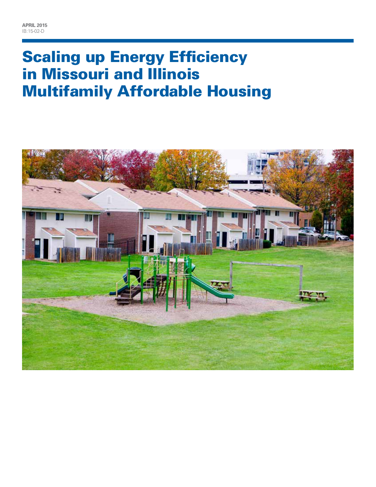# **Scaling up Energy Efficiency** in Missouri and Illinois Multifamily Affordable Housing

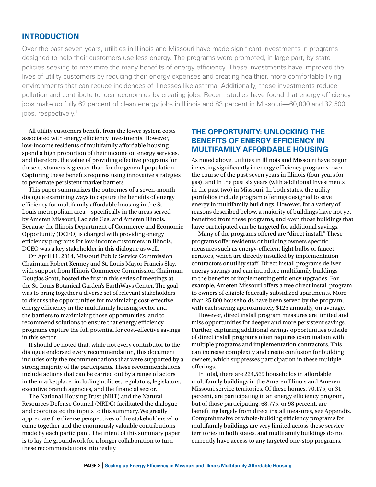#### **Introduction**

Over the past seven years, utilities in Illinois and Missouri have made significant investments in programs designed to help their customers use less energy. The programs were prompted, in large part, by state policies seeking to maximize the many benefits of energy efficiency. These investments have improved the lives of utility customers by reducing their energy expenses and creating healthier, more comfortable living environments that can reduce incidences of illnesses like asthma. Additionally, these investments reduce pollution and contribute to local economies by creating jobs. Recent studies have found that energy efficiency jobs make up fully 62 percent of clean energy jobs in Illinois and 83 percent in Missouri—60,000 and 32,500 jobs, respectively.<sup>1</sup>

All utility customers benefit from the lower system costs associated with energy efficiency investments. However, low-income residents of multifamily affordable housing spend a high proportion of their income on energy services, and therefore, the value of providing effective programs for these customers is greater than for the general population. Capturing these benefits requires using innovative strategies to penetrate persistent market barriers.

This paper summarizes the outcomes of a seven-month dialogue examining ways to capture the benefits of energy efficiency for multifamily affordable housing in the St. Louis metropolitan area—specifically in the areas served by Ameren Missouri, Laclede Gas, and Ameren Illinois. Because the Illinois Department of Commerce and Economic Opportunity (DCEO) is charged with providing energy efficiency programs for low-income customers in Illinois, DCEO was a key stakeholder in this dialogue as well.

On April 11, 2014, Missouri Public Service Commission Chairman Robert Kenney and St. Louis Mayor Francis Slay, with support from Illinois Commerce Commission Chairman Douglas Scott, hosted the first in this series of meetings at the St. Louis Botanical Garden's EarthWays Center. The goal was to bring together a diverse set of relevant stakeholders to discuss the opportunities for maximizing cost-effective energy efficiency in the multifamily housing sector and the barriers to maximizing those opportunities, and to recommend solutions to ensure that energy efficiency programs capture the full potential for cost-effective savings in this sector.

It should be noted that, while not every contributor to the dialogue endorsed every recommendation, this document includes only the recommendations that were supported by a strong majority of the participants. These recommendations include actions that can be carried out by a range of actors in the marketplace, including utilities, regulators, legislators, executive branch agencies, and the financial sector.

The National Housing Trust (NHT) and the Natural Resources Defense Council (NRDC) facilitated the dialogue and coordinated the inputs to this summary. We greatly appreciate the diverse perspectives of the stakeholders who came together and the enormously valuable contributions made by each participant. The intent of this summary paper is to lay the groundwork for a longer collaboration to turn these recommendations into reality.

# **The Opportunity: Unlocking the Benefits of Energy Efficiency in Multifamily Affordable Housing**

As noted above, utilities in Illinois and Missouri have begun investing significantly in energy efficiency programs: over the course of the past seven years in Illinois (four years for gas), and in the past six years (with additional investments in the past two) in Missouri. In both states, the utility portfolios include program offerings designed to save energy in multifamily buildings. However, for a variety of reasons described below, a majority of buildings have not yet benefited from these programs, and even those buildings that have participated can be targeted for additional savings.

Many of the programs offered are "direct install." These programs offer residents or building owners specific measures such as energy-efficient light bulbs or faucet aerators, which are directly installed by implementation contractors or utility staff. Direct install programs deliver energy savings and can introduce multifamily buildings to the benefits of implementing efficiency upgrades. For example, Ameren Missouri offers a free direct install program to owners of eligible federally subsidized apartments. More than 25,800 households have been served by the program, with each saving approximately \$125 annually, on average.

However, direct install program measures are limited and miss opportunities for deeper and more persistent savings. Further, capturing additional savings opportunities outside of direct install programs often requires coordination with multiple programs and implementation contractors. This can increase complexity and create confusion for building owners, which suppresses participation in these multiple offerings.

In total, there are 224,569 households in affordable multifamily buildings in the Ameren Illinois and Ameren Missouri service territories. Of these homes, 70,175, or 31 percent, are participating in an energy efficiency program, but of those participating, 68,775, or 98 percent, are benefiting largely from direct install measures, see Appendix. Comprehensive or whole-building efficiency programs for multifamily buildings are very limited across these service territories in both states, and multifamily buildings do not currently have access to any targeted one-stop programs.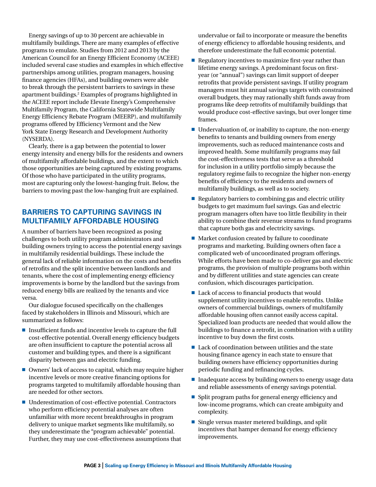Energy savings of up to 30 percent are achievable in multifamily buildings. There are many examples of effective programs to emulate. Studies from 2012 and 2013 by the American Council for an Energy Efficient Economy (ACEEE) included several case studies and examples in which effective partnerships among utilities, program managers, housing finance agencies (HFAs), and building owners were able to break through the persistent barriers to savings in these apartment buildings.2 Examples of programs highlighted in the ACEEE report include Elevate Energy's Comprehensive Multifamily Program, the California Statewide Multifamily Energy Efficiency Rebate Program (MEERP), and multifamily programs offered by Efficiency Vermont and the New York State Energy Research and Development Authority (NYSERDA).

Clearly, there is a gap between the potential to lower energy intensity and energy bills for the residents and owners of multifamily affordable buildings, and the extent to which those opportunities are being captured by existing programs. Of those who have participated in the utility programs, most are capturing only the lowest-hanging fruit. Below, the barriers to moving past the low-hanging fruit are explained.

# **Barriers to Capturing Savings in Multifamily Affordable Housing**

A number of barriers have been recognized as posing challenges to both utility program administrators and building owners trying to access the potential energy savings in multifamily residential buildings. These include the general lack of reliable information on the costs and benefits of retrofits and the split incentive between landlords and tenants, where the cost of implementing energy efficiency improvements is borne by the landlord but the savings from reduced energy bills are realized by the tenants and vice versa.

Our dialogue focused specifically on the challenges faced by stakeholders in Illinois and Missouri, which are summarized as follows:

- $\blacksquare$  Insufficient funds and incentive levels to capture the full cost-effective potential. Overall energy efficiency budgets are often insufficient to capture the potential across all customer and building types, and there is a significant disparity between gas and electric funding.
- $\blacksquare$  Owners' lack of access to capital, which may require higher incentive levels or more creative financing options for programs targeted to multifamily affordable housing than are needed for other sectors.
- $\blacksquare$  Underestimation of cost-effective potential. Contractors who perform efficiency potential analyses are often unfamiliar with more recent breakthroughs in program delivery to unique market segments like multifamily, so they underestimate the "program achievable" potential. Further, they may use cost-effectiveness assumptions that

undervalue or fail to incorporate or measure the benefits of energy efficiency to affordable housing residents, and therefore underestimate the full economic potential.

- $\blacksquare$  Regulatory incentives to maximize first-year rather than lifetime energy savings. A predominant focus on firstyear (or "annual") savings can limit support of deeper retrofits that provide persistent savings. If utility program managers must hit annual savings targets with constrained overall budgets, they may rationally shift funds away from programs like deep retrofits of multifamily buildings that would produce cost-effective savings, but over longer time frames.
- $\blacksquare$  Undervaluation of, or inability to capture, the non-energy benefits to tenants and building owners from energy improvements, such as reduced maintenance costs and improved health. Some multifamily programs may fail the cost-effectiveness tests that serve as a threshold for inclusion in a utility portfolio simply because the regulatory regime fails to recognize the higher non-energy benefits of efficiency to the residents and owners of multifamily buildings, as well as to society.
- n Regulatory barriers to combining gas and electric utility budgets to get maximum fuel savings. Gas and electric program managers often have too little flexibility in their ability to combine their revenue streams to fund programs that capture both gas and electricity savings.
- $\blacksquare$  Market confusion created by failure to coordinate programs and marketing. Building owners often face a complicated web of uncoordinated program offerings. While efforts have been made to co-deliver gas and electric programs, the provision of multiple programs both within and by different utilities and state agencies can create confusion, which discourages participation.
- $\blacksquare$  Lack of access to financial products that would supplement utility incentives to enable retrofits. Unlike owners of commercial buildings, owners of multifamily affordable housing often cannot easily access capital. Specialized loan products are needed that would allow the buildings to finance a retrofit, in combination with a utility incentive to buy down the first costs.
- $\blacksquare$  Lack of coordination between utilities and the state housing finance agency in each state to ensure that building owners have efficiency opportunities during periodic funding and refinancing cycles.
- $\blacksquare$  Inadequate access by building owners to energy usage data and reliable assessments of energy savings potential.
- Split program paths for general energy efficiency and low-income programs, which can create ambiguity and complexity.
- $\blacksquare$  Single versus master metered buildings, and split incentives that hamper demand for energy efficiency improvements.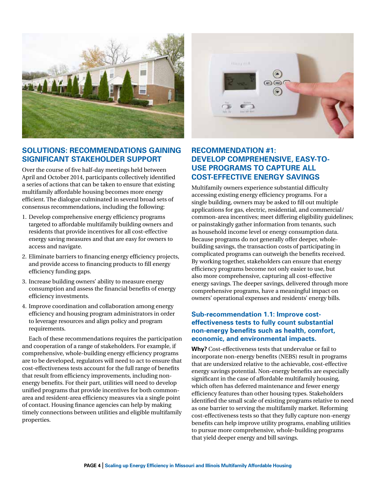

# **Solutions: Recommendations Gaining Significant Stakeholder Support**

Over the course of five half-day meetings held between April and October 2014, participants collectively identified a series of actions that can be taken to ensure that existing multifamily affordable housing becomes more energy efficient. The dialogue culminated in several broad sets of consensus recommendations, including the following:

- 1. Develop comprehensive energy efficiency programs targeted to affordable multifamily building owners and residents that provide incentives for all cost-effective energy saving measures and that are easy for owners to access and navigate.
- 2. Eliminate barriers to financing energy efficiency projects, and provide access to financing products to fill energy efficiency funding gaps.
- 3. Increase building owners' ability to measure energy consumption and assess the financial benefits of energy efficiency investments.
- 4. Improve coordination and collaboration among energy efficiency and housing program administrators in order to leverage resources and align policy and program requirements.

Each of these recommendations requires the participation and cooperation of a range of stakeholders. For example, if comprehensive, whole-building energy efficiency programs are to be developed, regulators will need to act to ensure that cost-effectiveness tests account for the full range of benefits that result from efficiency improvements, including nonenergy benefits. For their part, utilities will need to develop unified programs that provide incentives for both commonarea and resident-area efficiency measures via a single point of contact. Housing finance agencies can help by making timely connections between utilities and eligible multifamily properties.

![](_page_3_Picture_8.jpeg)

# **Recommendation #1: Develop comprehensive, easy-touse programs to capture all cost-effective energy savings**

Multifamily owners experience substantial difficulty accessing existing energy efficiency programs. For a single building, owners may be asked to fill out multiple applications for gas, electric, residential, and commercial/ common-area incentives; meet differing eligibility guidelines; or painstakingly gather information from tenants, such as household income level or energy consumption data. Because programs do not generally offer deeper, wholebuilding savings, the transaction costs of participating in complicated programs can outweigh the benefits received. By working together, stakeholders can ensure that energy efficiency programs become not only easier to use, but also more comprehensive, capturing all cost-effective energy savings. The deeper savings, delivered through more comprehensive programs, have a meaningful impact on owners' operational expenses and residents' energy bills.

# **Sub-recommendation 1.1: Improve costeffectiveness tests to fully count substantial non-energy benefits such as health, comfort, economic, and environmental impacts.**

**Why?** Cost-effectiveness tests that undervalue or fail to incorporate non-energy benefits (NEBS) result in programs that are undersized relative to the achievable, cost-effective energy savings potential. Non-energy benefits are especially significant in the case of affordable multifamily housing, which often has deferred maintenance and fewer energy efficiency features than other housing types. Stakeholders identified the small scale of existing programs relative to need as one barrier to serving the multifamily market. Reforming cost-effectiveness tests so that they fully capture non-energy benefits can help improve utility programs, enabling utilities to pursue more comprehensive, whole-building programs that yield deeper energy and bill savings.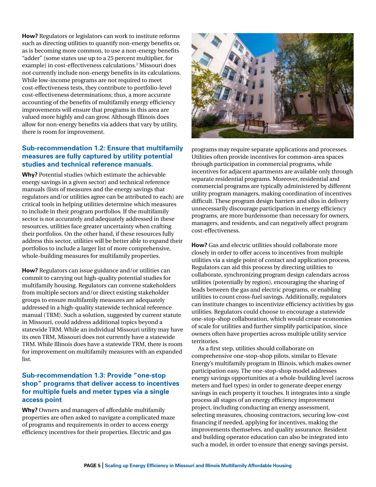**How?** Regulators or legislators can work to institute reforms such as directing utilities to quantify non-energy benefits or, as is becoming more common, to use a non-energy benefits "adder" (some states use up to a 25 percent multiplier, for example) in cost-effectiveness calculations.3 Missouri does not currently include non-energy benefits in its calculations. While low-income programs are not required to meet cost-effectiveness tests, they contribute to portfolio-level cost-effectiveness determinations; thus, a more accurate accounting of the benefits of multifamily energy efficiency improvements will ensure that programs in this area are valued more highly and can grow. Although Illinois does allow for non-energy benefits via adders that vary by utility, there is room for improvement.

# **Sub-recommendation 1.2: Ensure that multifamily measures are fully captured by utility potential studies and technical reference manuals.**

**Why?** Potential studies (which estimate the achievable energy savings in a given sector) and technical reference manuals (lists of measures and the energy savings that regulators and/or utilities agree can be attributed to each) are critical tools in helping utilities determine which measures to include in their program portfolios. If the multifamily sector is not accurately and adequately addressed in these resources, utilities face greater uncertainty when crafting their portfolios. On the other hand, if these resources fully address this sector, utilities will be better able to expand their portfolios to include a larger list of more comprehensive, whole-building measures for multifamily properties.

**How?** Regulators can issue guidance and/or utilities can commit to carrying out high-quality potential studies for multifamily housing. Regulators can convene stakeholders from multiple sectors and/or direct existing stakeholder groups to ensure multifamily measures are adequately addressed in a high-quality statewide technical reference manual (TRM). Such a solution, suggested by current statute in Missouri, could address additional topics beyond a statewide TRM. While an individual Missouri utility may have its own TRM, Missouri does not currently have a statewide TRM. While Illinois does have a statewide TRM, there is room for improvement on multifamily measures with an expanded list.

#### **Sub-recommendation 1.3: Provide "one-stop shop" programs that deliver access to incentives for multiple fuels and meter types via a single access point**

**Why?** Owners and managers of affordable multifamily properties are often asked to navigate a complicated maze of programs and requirements in order to access energy efficiency incentives for their properties. Electric and gas

![](_page_4_Picture_6.jpeg)

programs may require separate applications and processes. Utilities often provide incentives for common-area spaces through participation in commercial programs, while incentives for adjacent apartments are available only through separate residential programs. Moreover, residential and commercial programs are typically administered by different utility program managers, making coordination of incentives difficult. These program design barriers and silos in delivery unnecessarily discourage participation in energy efficiency programs, are more burdensome than necessary for owners, managers, and residents, and can negatively affect program cost-effectiveness.

**How?** Gas and electric utilities should collaborate more closely in order to offer access to incentives from multiple utilities via a single point of contact and application process. Regulators can aid this process by directing utilities to collaborate, synchronizing program design calendars across utilities (potentially by region), encouraging the sharing of leads between the gas and electric programs, or enabling utilities to count cross-fuel savings. Additionally, regulators can institute changes to incentivize efficiency activities by gas utilities. Regulators could choose to encourage a statewide one-stop-shop collaboration, which would create economies of scale for utilities and further simplify participation, since owners often have properties across multiple utility service territories.

As a first step, utilities should collaborate on comprehensive one-stop-shop pilots, similar to Elevate Energy's multifamily program in Illinois, which makes owner participation easy. The one-stop-shop model addresses energy savings opportunities at a whole-building level (across meters and fuel types) in order to generate deeper energy savings in each property it touches. It integrates into a single process all stages of an energy efficiency improvement project, including conducting an energy assessment, selecting measures, choosing contractors, securing low-cost financing if needed, applying for incentives, making the improvements themselves, and quality assurance. Resident and building operator education can also be integrated into such a model, in order to ensure that energy savings persist.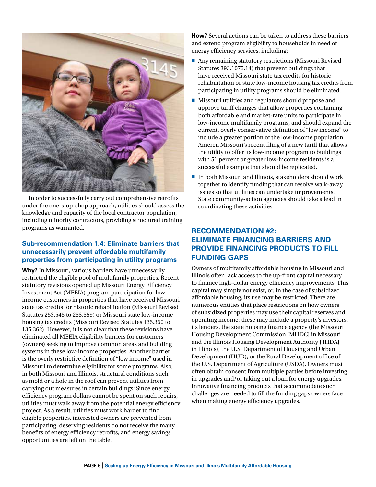![](_page_5_Picture_0.jpeg)

In order to successfully carry out comprehensive retrofits under the one-stop-shop approach, utilities should assess the knowledge and capacity of the local contractor population, including minority contractors, providing structured training programs as warranted.

# **Sub-recommendation 1.4: Eliminate barriers that unnecessarily prevent affordable multifamily properties from participating in utility programs**

**Why?** In Missouri, various barriers have unnecessarily restricted the eligible pool of multifamily properties. Recent statutory revisions opened up Missouri Energy Efficiency Investment Act (MEEIA) program participation for lowincome customers in properties that have received Missouri state tax credits for historic rehabilitation (Missouri Revised Statutes 253.545 to 253.559) or Missouri state low-income housing tax credits (Missouri Revised Statutes 135.350 to 135.362). However, it is not clear that these revisions have eliminated all MEEIA eligibility barriers for customers (owners) seeking to improve common areas and building systems in these low-income properties. Another barrier is the overly restrictive definition of "low income" used in Missouri to determine eligibility for some programs. Also, in both Missouri and Illinois, structural conditions such as mold or a hole in the roof can prevent utilities from carrying out measures in certain buildings: Since energy efficiency program dollars cannot be spent on such repairs, utilities must walk away from the potential energy efficiency project. As a result, utilities must work harder to find eligible properties, interested owners are prevented from participating, deserving residents do not receive the many benefits of energy efficiency retrofits, and energy savings opportunities are left on the table.

**How?** Several actions can be taken to address these barriers and extend program eligibility to households in need of energy efficiency services, including:

- $\blacksquare$  Any remaining statutory restrictions (Missouri Revised Statutes 393.1075.14) that prevent buildings that have received Missouri state tax credits for historic rehabilitation or state low-income housing tax credits from participating in utility programs should be eliminated.
- $\blacksquare$  Missouri utilities and regulators should propose and approve tariff changes that allow properties containing both affordable and market-rate units to participate in low-income multifamily programs, and should expand the current, overly conservative definition of "low income" to include a greater portion of the low-income population. Ameren Missouri's recent filing of a new tariff that allows the utility to offer its low-income program to buildings with 51 percent or greater low-income residents is a successful example that should be replicated.
- $\blacksquare$  In both Missouri and Illinois, stakeholders should work together to identify funding that can resolve walk-away issues so that utilities can undertake improvements. State community-action agencies should take a lead in coordinating these activities.

# **Recommendation #2: Eliminate financing barriers and provide financing products to fill funding gaps**

Owners of multifamily affordable housing in Missouri and Illinois often lack access to the up-front capital necessary to finance high-dollar energy efficiency improvements. This capital may simply not exist, or, in the case of subsidized affordable housing, its use may be restricted. There are numerous entities that place restrictions on how owners of subsidized properties may use their capital reserves and operating income; these may include a property's investors, its lenders, the state housing finance agency (the Missouri Housing Development Commission [MHDC] in Missouri and the Illinois Housing Development Authority [ IHDA] in Illinois), the U.S. Department of Housing and Urban Development (HUD), or the Rural Development office of the U.S. Department of Agriculture (USDA). Owners must often obtain consent from multiple parties before investing in upgrades and/or taking out a loan for energy upgrades. Innovative financing products that accommodate such challenges are needed to fill the funding gaps owners face when making energy efficiency upgrades.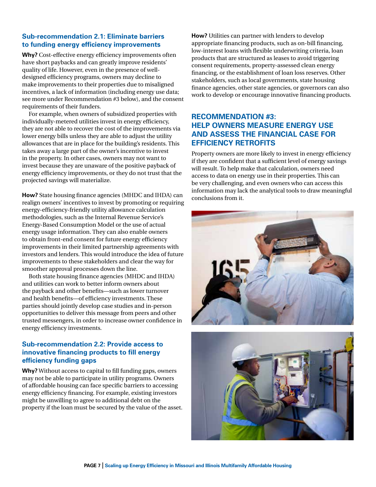# **Sub-recommendation 2.1: Eliminate barriers to funding energy efficiency improvements**

**Why?** Cost-effective energy efficiency improvements often have short paybacks and can greatly improve residents' quality of life. However, even in the presence of welldesigned efficiency programs, owners may decline to make improvements to their properties due to misaligned incentives, a lack of information (including energy use data; see more under Recommendation #3 below), and the consent requirements of their funders.

For example, when owners of subsidized properties with individually-metered utilities invest in energy efficiency, they are not able to recover the cost of the improvements via lower energy bills unless they are able to adjust the utility allowances that are in place for the building's residents. This takes away a large part of the owner's incentive to invest in the property. In other cases, owners may not want to invest because they are unaware of the positive payback of energy efficiency improvements, or they do not trust that the projected savings will materialize.

**How?** State housing finance agencies (MHDC and IHDA) can realign owners' incentives to invest by promoting or requiring energy-efficiency-friendly utility allowance calculation methodologies, such as the Internal Revenue Service's Energy-Based Consumption Model or the use of actual energy usage information. They can also enable owners to obtain front-end consent for future energy efficiency improvements in their limited partnership agreements with investors and lenders. This would introduce the idea of future improvements to these stakeholders and clear the way for smoother approval processes down the line.

Both state housing finance agencies (MHDC and IHDA) and utilities can work to better inform owners about the payback and other benefits—such as lower turnover and health benefits—of efficiency investments. These parties should jointly develop case studies and in-person opportunities to deliver this message from peers and other trusted messengers, in order to increase owner confidence in energy efficiency investments.

# **Sub-recommendation 2.2: Provide access to innovative financing products to fill energy efficiency funding gaps**

**Why?** Without access to capital to fill funding gaps, owners may not be able to participate in utility programs. Owners of affordable housing can face specific barriers to accessing energy efficiency financing. For example, existing investors might be unwilling to agree to additional debt on the property if the loan must be secured by the value of the asset. **How?** Utilities can partner with lenders to develop appropriate financing products, such as on-bill financing, low-interest loans with flexible underwriting criteria, loan products that are structured as leases to avoid triggering consent requirements, property-assessed clean energy financing, or the establishment of loan loss reserves. Other stakeholders, such as local governments, state housing finance agencies, other state agencies, or governors can also work to develop or encourage innovative financing products.

# **Recommendation #3: Help owners measure energy use and assess the financial case for efficiency retrofits**

Property owners are more likely to invest in energy efficiency if they are confident that a sufficient level of energy savings will result. To help make that calculation, owners need access to data on energy use in their properties. This can be very challenging, and even owners who can access this information may lack the analytical tools to draw meaningful conclusions from it.

![](_page_6_Picture_10.jpeg)

![](_page_6_Picture_11.jpeg)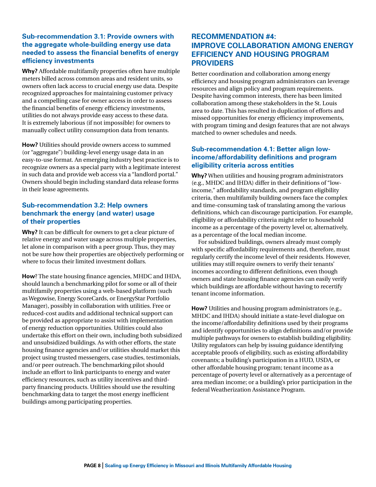# **Sub-recommendation 3.1: Provide owners with the aggregate whole-building energy use data needed to assess the financial benefits of energy efficiency investments**

**Why?** Affordable multifamily properties often have multiple meters billed across common areas and resident units, so owners often lack access to crucial energy use data. Despite recognized approaches for maintaining customer privacy and a compelling case for owner access in order to assess the financial benefits of energy efficiency investments, utilities do not always provide easy access to these data. It is extremely laborious (if not impossible) for owners to manually collect utility consumption data from tenants.

**How?** Utilities should provide owners access to summed (or "aggregate") building-level energy usage data in an easy-to-use format. An emerging industry best practice is to recognize owners as a special party with a legitimate interest in such data and provide web access via a "landlord portal." Owners should begin including standard data release forms in their lease agreements.

#### **Sub-recommendation 3.2: Help owners benchmark the energy (and water) usage of their properties**

**Why?** It can be difficult for owners to get a clear picture of relative energy and water usage across multiple properties, let alone in comparison with a peer group. Thus, they may not be sure how their properties are objectively performing or where to focus their limited investment dollars.

**How**? The state housing finance agencies, MHDC and IHDA, should launch a benchmarking pilot for some or all of their multifamily properties using a web-based platform (such as Wegowise, Energy ScoreCards, or EnergyStar Portfolio Manager), possibly in collaboration with utilities. Free or reduced-cost audits and additional technical support can be provided as appropriate to assist with implementation of energy reduction opportunities. Utilities could also undertake this effort on their own, including both subsidized and unsubsidized buildings. As with other efforts, the state housing finance agencies and/or utilities should market this project using trusted messengers, case studies, testimonials, and/or peer outreach. The benchmarking pilot should include an effort to link participants to energy and water efficiency resources, such as utility incentives and thirdparty financing products. Utilities should use the resulting benchmarking data to target the most energy inefficient buildings among participating properties.

# **Recommendation #4: Improve collaboration among energy efficiency and housing program providers**

Better coordination and collaboration among energy efficiency and housing program administrators can leverage resources and align policy and program requirements. Despite having common interests, there has been limited collaboration among these stakeholders in the St. Louis area to date. This has resulted in duplication of efforts and missed opportunities for energy efficiency improvements, with program timing and design features that are not always matched to owner schedules and needs.

#### **Sub-recommendation 4.1: Better align lowincome/affordability definitions and program eligibility criteria across entities**

**Why?** When utilities and housing program administrators (e.g., MHDC and IHDA) differ in their definitions of "lowincome," affordability standards, and program eligibility criteria, then multifamily building owners face the complex and time-consuming task of translating among the various definitions, which can discourage participation. For example, eligibility or affordability criteria might refer to household income as a percentage of the poverty level or, alternatively, as a percentage of the local median income.

For subsidized buildings, owners already must comply with specific affordability requirements and, therefore, must regularly certify the income level of their residents. However, utilities may still require owners to verify their tenants' incomes according to different definitions, even though owners and state housing finance agencies can easily verify which buildings are affordable without having to recertify tenant income information.

**How?** Utilities and housing program administrators (e.g., MHDC and IHDA) should initiate a state-level dialogue on the income/affordability definitions used by their programs and identify opportunities to align definitions and/or provide multiple pathways for owners to establish building eligibility. Utility regulators can help by issuing guidance identifying acceptable proofs of eligibility, such as existing affordability covenants; a building's participation in a HUD, USDA, or other affordable housing program; tenant income as a percentage of poverty level or alternatively as a percentage of area median income; or a building's prior participation in the federal Weatherization Assistance Program.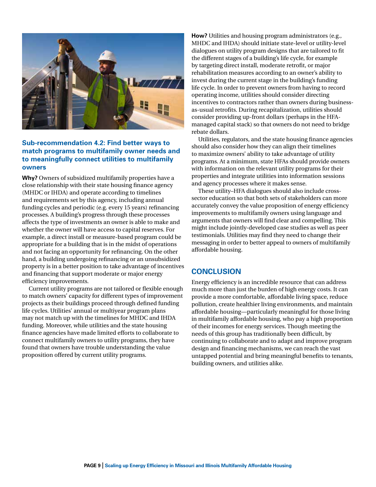![](_page_8_Picture_0.jpeg)

#### **Sub-recommendation 4.2: Find better ways to match programs to multifamily owner needs and to meaningfully connect utilities to multifamily owners**

**Why?** Owners of subsidized multifamily properties have a close relationship with their state housing finance agency (MHDC or IHDA) and operate according to timelines and requirements set by this agency, including annual funding cycles and periodic (e.g. every 15 years) refinancing processes. A building's progress through these processes affects the type of investments an owner is able to make and whether the owner will have access to capital reserves. For example, a direct install or measure-based program could be appropriate for a building that is in the midst of operations and not facing an opportunity for refinancing. On the other hand, a building undergoing refinancing or an unsubsidized property is in a better position to take advantage of incentives and financing that support moderate or major energy efficiency improvements.

Current utility programs are not tailored or flexible enough to match owners' capacity for different types of improvement projects as their buildings proceed through defined funding life cycles. Utilities' annual or multiyear program plans may not match up with the timelines for MHDC and IHDA funding. Moreover, while utilities and the state housing finance agencies have made limited efforts to collaborate to connect multifamily owners to utility programs, they have found that owners have trouble understanding the value proposition offered by current utility programs.

**How?** Utilities and housing program administrators (e.g., MHDC and IHDA) should initiate state-level or utility-level dialogues on utility program designs that are tailored to fit the different stages of a building's life cycle, for example by targeting direct install, moderate retrofit, or major rehabilitation measures according to an owner's ability to invest during the current stage in the building's funding life cycle. In order to prevent owners from having to record operating income, utilities should consider directing incentives to contractors rather than owners during businessas-usual retrofits. During recapitalization, utilities should consider providing up-front dollars (perhaps in the HFAmanaged capital stack) so that owners do not need to bridge rebate dollars.

Utilities, regulators, and the state housing finance agencies should also consider how they can align their timelines to maximize owners' ability to take advantage of utility programs. At a minimum, state HFAs should provide owners with information on the relevant utility programs for their properties and integrate utilities into information sessions and agency processes where it makes sense.

These utility–HFA dialogues should also include crosssector education so that both sets of stakeholders can more accurately convey the value proposition of energy efficiency improvements to multifamily owners using language and arguments that owners will find clear and compelling. This might include jointly-developed case studies as well as peer testimonials. Utilities may find they need to change their messaging in order to better appeal to owners of multifamily affordable housing.

# **Conclusion**

Energy efficiency is an incredible resource that can address much more than just the burden of high energy costs. It can provide a more comfortable, affordable living space, reduce pollution, create healthier living environments, and maintain affordable housing—particularly meaningful for those living in multifamily affordable housing, who pay a high proportion of their incomes for energy services. Though meeting the needs of this group has traditionally been difficult, by continuing to collaborate and to adapt and improve program design and financing mechanisms, we can reach the vast untapped potential and bring meaningful benefits to tenants, building owners, and utilities alike.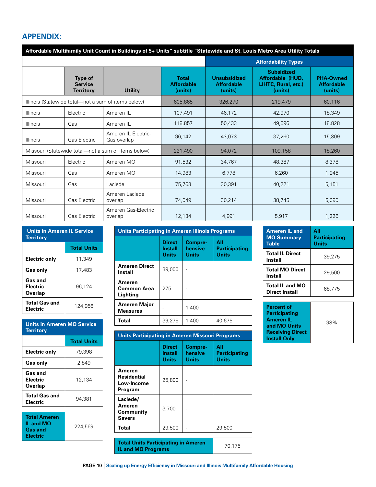# **Appendix:**

| Affordable Multifamily Unit Count in Buildings of 5+ Units" subtitle "Statewide and St. Louis Metro Area Utility Totals |                                               |                                    |                                              |                                                     |                                                                         |                                                  |
|-------------------------------------------------------------------------------------------------------------------------|-----------------------------------------------|------------------------------------|----------------------------------------------|-----------------------------------------------------|-------------------------------------------------------------------------|--------------------------------------------------|
|                                                                                                                         |                                               |                                    | <b>Affordability Types</b>                   |                                                     |                                                                         |                                                  |
|                                                                                                                         | Type of<br><b>Service</b><br><b>Territory</b> | <b>Utility</b>                     | <b>Total</b><br><b>Affordable</b><br>(units) | <b>Unsubsidized</b><br><b>Affordable</b><br>(units) | <b>Subsidized</b><br>Affordable (HUD.<br>LIHTC, Rural, etc.)<br>(units) | <b>PHA-Owned</b><br><b>Affordable</b><br>(units) |
| Illinois (Statewide total-not a sum of items below)                                                                     |                                               | 605,865                            | 326,270                                      | 219,479                                             | 60,116                                                                  |                                                  |
| Illinois                                                                                                                | Electric                                      | Ameren IL                          | 107,491                                      | 46,172                                              | 42.970                                                                  | 18.349                                           |
| <b>Illinois</b>                                                                                                         | Gas                                           | Ameren IL                          | 118,857                                      | 50,433                                              | 49,596                                                                  | 18,828                                           |
| <b>Illinois</b>                                                                                                         | Gas Electric                                  | Ameren IL Electric-<br>Gas overlap | 96,142                                       | 43,073                                              | 37,260                                                                  | 15,809                                           |
| Missouri (Statewide total—not a sum of items below)                                                                     |                                               | 221,490                            | 94.072                                       | 109,158                                             | 18,260                                                                  |                                                  |
| Missouri                                                                                                                | Electric                                      | Ameren MO                          | 91,532                                       | 34,767                                              | 48,387                                                                  | 8,378                                            |
| Missouri                                                                                                                | Gas                                           | Ameren MO                          | 14,983                                       | 6,778                                               | 6,260                                                                   | 1,945                                            |
| Missouri                                                                                                                | Gas                                           | Laclede                            | 75,763                                       | 30,391                                              | 40,221                                                                  | 5,151                                            |
| Missouri                                                                                                                | <b>Gas Electric</b>                           | Ameren Laclede<br>overlap          | 74,049                                       | 30,214                                              | 38.745                                                                  | 5,090                                            |
| Missouri                                                                                                                | Gas Electric                                  | Ameren Gas-Electric<br>overlap     | 12,134                                       | 4.991                                               | 5,917                                                                   | 1.226                                            |

| <b>Units in Ameren IL Service</b><br><b>Territory</b> |                    |  |  |
|-------------------------------------------------------|--------------------|--|--|
|                                                       | <b>Total Units</b> |  |  |
| Electric only                                         | 11.349             |  |  |
| <b>Gas only</b>                                       | 17.483             |  |  |
| Gas and<br><b>Electric</b><br>Overlap                 | 96,124             |  |  |
| <b>Total Gas and</b><br><b>Electric</b>               | 124.956            |  |  |

| <b>Units in Ameren MO Service</b><br><b>Territory</b> |                    |  |  |
|-------------------------------------------------------|--------------------|--|--|
|                                                       | <b>Total Units</b> |  |  |
| Electric only                                         | 79,398             |  |  |
| 2.849<br><b>Gas only</b>                              |                    |  |  |
| Gas and<br>Electric<br>Overlap                        | 12,134             |  |  |
| <b>Total Gas and</b><br>Electric                      | 94,381             |  |  |
| <b>Total Ameren</b>                                   |                    |  |  |
| <b>IL and MO</b><br>the contract of the contract of   | 224,569            |  |  |

| IL and MO       |  |
|-----------------|--|
| <b>Gas and</b>  |  |
| <b>Electric</b> |  |

| <b>Units in Ameren IL Service</b> |         | Units Participating in Ameren Illinois Programs |                                |                          |                                      | <b>Ameren IL and</b>                            | All   |
|-----------------------------------|---------|-------------------------------------------------|--------------------------------|--------------------------|--------------------------------------|-------------------------------------------------|-------|
| Territorv<br><b>Total Units</b>   |         | <b>Direct</b>                                   | Compre-                        | All                      | <b>MO Summary</b><br><b>Table</b>    | <b>Participat</b><br><b>Units</b>               |       |
| <b>Electric only</b>              | 11.349  |                                                 | <b>Install</b><br><b>Units</b> | hensive<br><b>Units</b>  | <b>Participating</b><br><b>Units</b> | <b>Total IL Direct</b><br><b>Install</b>        | 39,27 |
| Gas only                          | 17,483  | <b>Ameren Direct</b><br><b>Install</b>          | 39,000                         | $\overline{\phantom{a}}$ |                                      | <b>Total MO Direct</b><br><b>Install</b>        | 29,50 |
| Gas and<br>Electric<br>Overlap    | 96.124  | Ameren<br><b>Common Area</b><br>Lighting        | 275                            | ٠                        |                                      | <b>Total IL and MO</b><br><b>Direct Install</b> | 68,77 |
| <b>Total Gas and</b><br>Electric  | 124.956 | <b>Ameren Major</b><br><b>Measures</b>          |                                | 1.400                    |                                      | <b>Percent of</b><br><b>Participating</b>       |       |
| <b>Units in Ameren MO Service</b> |         | <b>Total</b>                                    | 39,275                         | 1,400                    | 40,675                               | <b>Ameren IL</b><br>and MO Unite                | 98%   |

| <b>Units Participating in Ameren Missouri Programs</b> |                            |                             |                                             |  |
|--------------------------------------------------------|----------------------------|-----------------------------|---------------------------------------------|--|
|                                                        | Direct<br>Install<br>Units | Compre-<br>hensive<br>Units | All<br><b>Participating</b><br><b>Units</b> |  |
| Ameren<br>Residential<br>Low-Income<br>Program         | 25,800                     |                             |                                             |  |
| Laclede/<br>Ameren<br>Community<br><b>Savers</b>       | 3,700                      |                             |                                             |  |
| <b>Total</b>                                           | 29,500                     |                             | 29,500                                      |  |
|                                                        |                            |                             |                                             |  |
| <b>Total Units Participating in Ameren</b><br>70.17E   |                            |                             |                                             |  |

**IL and MO Programs IL and MO Programs** *PO 176* 

| <b>Ameren IL and</b><br><b>MO Summary</b><br><b>Table</b> | ΑII<br>Participating<br>Units |
|-----------------------------------------------------------|-------------------------------|
| <b>Total IL Direct</b><br><b>Install</b>                  | 39.275                        |
| <b>Total MO Direct</b><br>Install                         | 29,500                        |
| <b>Total IL and MO</b><br>Direct Install                  | 68.775                        |

| <b>Percent of</b><br><b>Participating</b><br><b>Ameren IL</b><br>and MO Units | 98% |
|-------------------------------------------------------------------------------|-----|
| <b>Receiving Direct</b><br><b>Install Only</b>                                |     |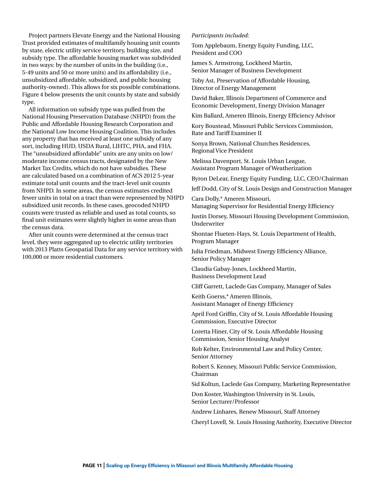Project partners Elevate Energy and the National Housing Trust provided estimates of multifamily housing unit counts by state, electric utility service territory, building size, and subsidy type. The affordable housing market was subdivided in two ways: by the number of units in the building (i.e., 5-49 units and 50 or more units) and its affordability (i.e., unsubsidized affordable, subsidized, and public housing authority-owned). This allows for six possible combinations. Figure 4 below presents the unit counts by state and subsidy type.

All information on subsidy type was pulled from the National Housing Preservation Database (NHPD) from the Public and Affordable Housing Research Corporation and the National Low Income Housing Coalition. This includes any property that has received at least one subsidy of any sort, including HUD, USDA Rural, LIHTC, PHA, and FHA. The "unsubsidized affordable" units are any units on low/ moderate income census tracts, designated by the New Market Tax Credits, which do not have subsidies. These are calculated based on a combination of ACS 2012 5-year estimate total unit counts and the tract-level unit counts from NHPD. In some areas, the census estimates credited fewer units in total on a tract than were represented by NHPD subsidized unit records. In these cases, geocoded NHPD counts were trusted as reliable and used as total counts, so final unit estimates were slightly higher in some areas than the census data.

After unit counts were determined at the census tract level, they were aggregated up to electric utility territories with 2013 Platts Geospatial Data for any service territory with 100,000 or more residential customers.

#### *Participants included:*

Tom Applebaum, Energy Equity Funding, LLC, President and COO

James S. Armstrong, Lockheed Martin, Senior Manager of Business Development

Toby Ast, Preservation of Affordable Housing, Director of Energy Management

David Baker, Illinois Department of Commerce and Economic Development, Energy Division Manager

Kim Ballard, Ameren Illinois, Energy Efficiency Advisor

Kory Boustead, Missouri Public Services Commission, Rate and Tariff Examiner II

Sonya Brown, National Churches Residences, Regional Vice President

Melissa Davenport, St. Louis Urban League, Assistant Program Manager of Weatherization

Byron DeLear, Energy Equity Funding, LLC, CEO/Chairman

Jeff Dodd, City of St. Louis Design and Construction Manager

Cara Dolly,\* Ameren Missouri, Managing Supervisor for Residential Energy Efficiency

Justin Dorsey, Missouri Housing Development Commission, Underwriter

Shontae Flueten-Hays, St. Louis Department of Health, Program Manager

Julia Friedman, Midwest Energy Efficiency Alliance, Senior Policy Manager

Claudia Gabay-Jones, Lockheed Martin, Business Development Lead

Cliff Garrett, Laclede Gas Company, Manager of Sales

Keith Goerss,\* Ameren Illinois, Assistant Manager of Energy Efficiency

April Ford Griffin, City of St. Louis Affordable Housing Commission, Executive Director

Loretta Hiner, City of St. Louis Affordable Housing Commission, Senior Housing Analyst

Rob Kelter, Environmental Law and Policy Center, Senior Attorney

Robert S. Kenney, Missouri Public Service Commission, Chairman

Sid Koltun, Laclede Gas Company, Marketing Representative

Don Koster, Washington University in St. Louis, Senior Lecturer/Professor

Andrew Linhares, Renew Missouri, Staff Attorney

Cheryl Lovell, St. Louis Housing Authority, Executive Director